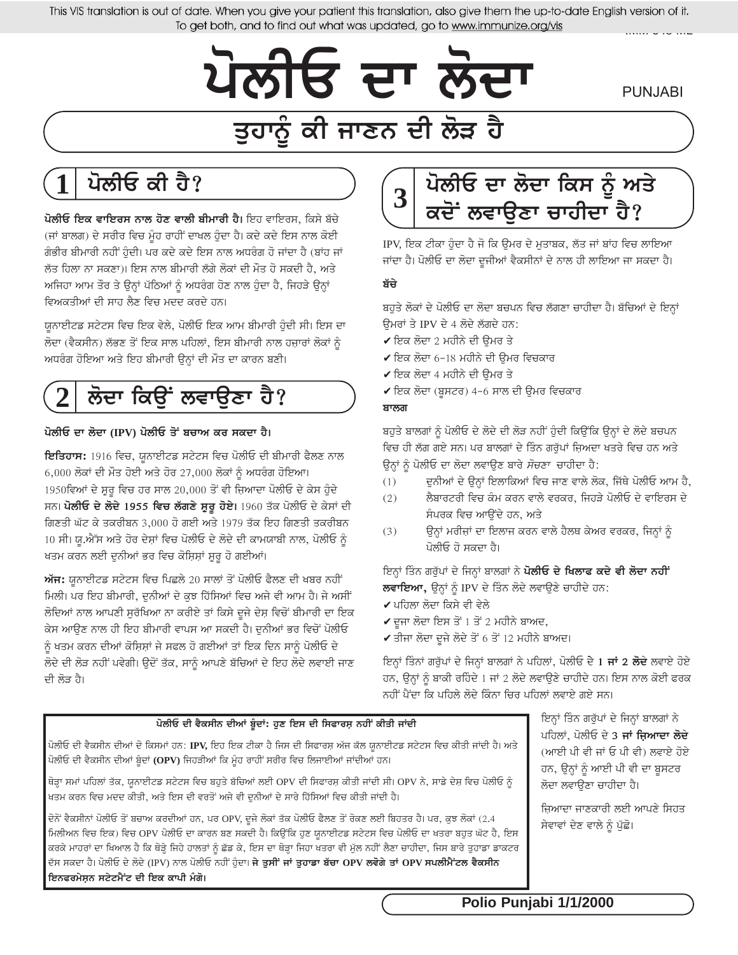This VIS translation is out of date. When you give your patient this translation, also give them the up-to-date English version of it. To get both, and to find out what was updated, go to www.immunize.org/vis

**PUNJABI** 

# ਤੁਹਾਨੂੰ ਕੀ ਜਾਣਨ ਦੀ ਲੋੜ ਹੈ

ਪੋਲੀਓ ਦਾ ਲੱਦਾ

## ਪੌਲੀਓ ਕੀ ਹੈ?

ਪੋਲੀਓ ਇਕ ਵਾਇਰਸ ਨਾਲ ਹੋਣ ਵਾਲੀ ਬੀਮਾਰੀ ਹੈ। ਇਹ ਵਾਇਰਸ, ਕਿਸੇ ਬੱਚੇ (ਜਾਂ ਬਾਲਗ) ਦੇ ਸਰੀਰ ਵਿਚ ਮੂੰਹ ਰਾਹੀਂ ਦਾਖਲ ਹੁੰਦਾ ਹੈ। ਕਦੇ ਕਦੇ ਇਸ ਨਾਲ ਕੋਈ ਗੰਭੀਰ ਬੀਮਾਰੀ ਨਹੀਂ ਹੋਦੀ। ਪਰ ਕਦੇ ਕਦੇ ਇਸ ਨਾਲ ਅਧਰੰਗ ਹੋ ਜਾਂਦਾ ਹੈ (ਬਾਂਹ ਜਾਂ ਲੱਤ ਹਿਲਾ ਨਾ ਸਕਣਾ)। ਇਸ ਨਾਲ ਬੀਮਾਰੀ ਲੱਗੇ ਲੋਕਾਂ ਦੀ ਮੌਤ ਹੋ ਸਕਦੀ ਹੈ, ਅਤੇ ਅਜਿਹਾ ਆਮ ਤੌਰ ਤੇ ਉਨ੍ਹਾਂ ਪੱਠਿਆਂ ਨੂੰ ਅਧਰੰਗ ਹੋਣ ਨਾਲ ਹੁੰਦਾ ਹੈ, ਜਿਹੜੇ ਉਨ੍ਹਾਂ ਵਿਅਕਤੀਆਂ ਦੀ ਸਾਹ ਲੈਣ ਵਿਚ ਮਦਦ ਕਰਦੇ ਹਨ।

ਯੁਨਾਈਟਡ ਸਟੇਟਸ ਵਿਚ ਇਕ ਵੇਲੇ, ਪੋਲੀਓ ਇਕ ਆਮ ਬੀਮਾਰੀ ਹੁੰਦੀ ਸੀ। ਇਸ ਦਾ ਲੋਦਾ (ਵੈਕਸੀਨ) ਲੱਭਣ ਤੋਂ ਇਕ ਸਾਲ ਪਹਿਲਾਂ, ਇਸ ਬੀਮਾਰੀ ਨਾਲ ਹਜ਼ਾਰਾਂ ਲੋਕਾਂ ਨੂੰ ਅਧਰੰਗ ਹੋਇਆ ਅਤੇ ਇਹ ਬੀਮਾਰੀ ਉਨ੍ਹਾਂ ਦੀ ਮੌਤ ਦਾ ਕਾਰਨ ਬਣੀ।

# ਲੋਦਾ ਕਿਉਂ ਲਵਾਉਣਾ ਹੈ?

#### ਪੋਲੀਓ ਦਾ ਲੋਦਾ (IPV) ਪੋਲੀਓ ਤੋਂ ਬਚਾਅ ਕਰ ਸਕਦਾ ਹੈ।

ਇਤਿਹਾਸ: 1916 ਵਿਚ, ਯੁਨਾਈਟਡ ਸਟੇਟਸ ਵਿਚ ਪੋਲੀਓ ਦੀ ਬੀਮਾਰੀ ਫੈਲਣ ਨਾਲ  $6,000$  ਲੋਕਾਂ ਦੀ ਮੌਤ ਹੋਈ ਅਤੇ ਹੋਰ 27,000 ਲੋਕਾਂ ਨੂੰ ਅਧਰੰਗ ਹੋਇਆ। 1950ਵਿਆਂ ਦੇ ਸ਼ੁਰੂ ਵਿਚ ਹਰ ਸਾਲ 20,000 ਤੋਂ ਵੀ ਜ਼ਿਆਦਾ ਪੋਲੀਓ ਦੇ ਕੇਸ ਹੁੰਦੇ ਸਨ। **ਪੋਲੀਓ ਦੇ ਲੋਦੇ 1955 ਵਿਚ ਲੱਗਣੇ ਸ਼ੁਰੂ ਹੋਏ।** 1960 ਤੱਕ ਪੋਲੀਓ ਦੇ ਕੇਸਾਂ ਦੀ ਗਿਣਤੀ ਘੱਟ ਕੇ ਤਕਰੀਬਨ 3,000 ਹੋ ਗਈ ਅਤੇ 1979 ਤੱਕ ਇਹ ਗਿਣਤੀ ਤਕਰੀਬਨ 10 ਸੀ। ਯ.ਐੱਸ ਅਤੇ ਹੋਰ ਦੇਸ਼ਾਂ ਵਿਚ ਪੋਲੀਓ ਦੇ ਲੋਦੇ ਦੀ ਕਾਮਯਾਬੀ ਨਾਲ, ਪੋਲੀਓ ਨੰ ਖਤਮ ਕਰਨ ਲਈ ਦੁਨੀਆਂ ਭਰ ਵਿਚ ਕੋਸ਼ਿਸ਼ਾਂ ਸੁਰੁ ਹੋ ਗਈਆਂ।

ਅੱਜ: ਯੂਨਾਈਟਡ ਸਟੇਟਸ ਵਿਚ ਪਿਛਲੇ 20 ਸਾਲਾਂ ਤੋਂ ਪੋਲੀਓ ਫੈਲਣ ਦੀ ਖਬਰ ਨਹੀਂ ਮਿਲੀ। ਪਰ ਇਹ ਬੀਮਾਰੀ, ਦੁਨੀਆਂ ਦੇ ਕੁਝ ਹਿੱਸਿਆਂ ਵਿਚ ਅਜੇ ਵੀ ਆਮ ਹੈ। ਜੇ ਅਸੀਂ ਲੋਦਿਆਂ ਨਾਲ ਆਪਣੀ ਸਰੱਖਿਆ ਨਾ ਕਰੀਏ ਤਾਂ ਕਿਸੇ ਦਜੇ ਦੇਸ਼ ਵਿਚੋਂ ਬੀਮਾਰੀ ਦਾ ਇਕ ਕੇਸ ਆਉਣ ਨਾਲ ਹੀ ਇਹ ਬੀਮਾਰੀ ਵਾਪਸ ਆ ਸਕਦੀ ਹੈ। ਦੁਨੀਆਂ ਭਰ ਵਿਚੋਂ ਪੋਲੀਓ ਨੰ ਖਤਮ ਕਰਨ ਦੀਆਂ ਕੋਸ਼ਿਸ਼ਾਂ ਜੇ ਸਫਲ ਹੋ ਗਈਆਂ ਤਾਂ ਇਕ ਦਿਨ ਸਾਨੰ ਪੋਲੀਓ ਦੇ ਲੋਦੇ ਦੀ ਲੋੜ ਨਹੀਂ ਪਵੇਗੀ। ਉਦੋਂ ਤੱਕ, ਸਾਨੂੰ ਆਪਣੇ ਬੱਚਿਆਂ ਦੇ ਇਹ ਲੋਦੇ ਲਵਾਈ ਜਾਣ ਦੀ ਲੋੜ ਹੈ।



IPV, ਇਕ ਟੀਕਾ ਹੁੰਦਾ ਹੈ ਜੋ ਕਿ ਉਮਰ ਦੇ ਮੁਤਾਬਕ, ਲੱਤ ਜਾਂ ਬਾਂਹ ਵਿਚ ਲਾਇਆ ਜਾਂਦਾ ਹੈ। ਪੋਲੀਓ ਦਾ ਲੋਦਾ ਦੂਜੀਆਂ ਵੈਕਸੀਨਾਂ ਦੇ ਨਾਲ ਹੀ ਲਾਇਆ ਜਾ ਸਕਦਾ ਹੈ।

#### ਬੱਚੇ

ਬਹੁਤੇ ਲੋਕਾਂ ਦੇ ਪੋਲੀਓ ਦਾ ਲੋਦਾ ਬਚਪਨ ਵਿਚ ਲੱਗਣਾ ਚਾਹੀਦਾ ਹੈ। ਬੱਚਿਆਂ ਦੇ ਇਨ੍ਹਾਂ ਓਮਰਾਂ ਤੇ IPV ਦੇ 4 ਲੋਦੇ ਲੱਗਦੇ ਹਨ:

- $\checkmark$ ਇਕ ਲੋਦਾ 2 ਮਹੀਨੇ ਦੀ ਉਮਰ ਤੇ
- $\checkmark$ ਇਕ ਲੋਦਾ 6-18 ਮਹੀਨੇ ਦੀ ਉਮਰ ਵਿਚਕਾਰ
- $\checkmark$ ਇਕ ਲੋਦਾ 4 ਮਹੀਨੇ ਦੀ ਉਮਰ ਤੇ
- $\checkmark$  ਇਕ ਲੋਦਾ (ਬੁਸਟਰ) 4-6 ਸਾਲ ਦੀ ਉਮਰ ਵਿਚਕਾਰ

#### ਬਾਲਗ

ਬਹੁਤੇ ਬਾਲਗਾਂ ਨੂੰ ਪੋਲੀਓ ਦੇ ਲੋਦੇ ਦੀ ਲੋੜ ਨਹੀਂ ਹੁੰਦੀ ਕਿਉਂਕਿ ਉਨ੍ਹਾਂ ਦੇ ਲੋਦੇ ਬਚਪਨ ਵਿਚ ਹੀ ਲੱਗ ਗਏ ਸਨ। ਪਰ ਬਾਲਗਾਂ ਦੇ ਤਿੰਨ ਗਰੱਪਾਂ ਜਿ਼ਅਦਾ ਖਤਰੇ ਵਿਚ ਹਨ ਅਤੇ ਉਨ੍ਹਾਂ ਨੂੰ ਪੋਲੀਓ ਦਾ ਲੋਦਾ ਲਵਾਉਣ ਬਾਰੇ ਸੋਚਣਾ ਚਾਹੀਦਾ ਹੈ:

- ਦੁਨੀਆਂ ਦੇ ਉਨ੍ਹਾਂ ਇਲਾਕਿਆਂ ਵਿਚ ਜਾਣ ਵਾਲੇ ਲੋਕ, ਜਿੱਥੇ ਪੋਲੀਓ ਆਮ ਹੈ,  $(1)$
- ਲੈਬਾਰਟਰੀ ਵਿਚ ਕੈਮ ਕਰਨ ਵਾਲੇ ਵਰਕਰ, ਜਿਹੜੇ ਪੋਲੀਓ ਦੇ ਵਾਇਰਸ ਦੇ  $(2)$ ਸੰਪਰਕ ਵਿਚ ਆਉਂਦੇ ਹਨ. ਅਤੇ
- ਉਨ੍ਹਾਂ ਮਰੀਜ਼ਾਂ ਦਾ ਇਲਾਜ ਕਰਨ ਵਾਲੇ ਹੈਲਥ ਕੇਅਰ ਵਰਕਰ, ਜਿਨ੍ਹਾਂ ਨੂੰ  $(3)$ ਪੋਲੀਓ ਹੋ ਸਕਦਾ ਹੈ।

ਇਨ੍ਹਾਂ ਤਿੰਨ ਗਰੁੱਪਾਂ ਦੇ ਜਿਨ੍ਹਾਂ ਬਾਲਗਾਂ ਨੇ **ਪੋਲੀਓ ਦੇ ਖਿਲਾਫ ਕਦੇ ਵੀ ਲੋਦਾ ਨਹੀਂ** ਲਵਾਇਆ, ਉਨ੍ਹਾਂ ਨੂੰ IPV ਦੇ ਤਿੰਨ ਲੋਦੇ ਲਵਾਉਣੇ ਚਾਹੀਦੇ ਹਨ:

- $\checkmark$ ਪਹਿਲਾ ਲੋਦਾ ਕਿਸੇ ਵੀ ਵੇਲੇ
- $\checkmark$  ਦੂਜਾ ਲੋਦਾ ਇਸ ਤੋਂ 1 ਤੋਂ 2 ਮਹੀਨੇ ਬਾਅਦ,
- $\checkmark$ ਤੀਜਾ ਲੋਦਾ ਦੂਜੇ ਲੋਦੇ ਤੋਂ 6 ਤੋਂ 12 ਮਹੀਨੇ ਬਾਅਦ।

ਇਨ੍ਹਾਂ ਤਿੰਨਾਂ ਗਰੁੱਪਾਂ ਦੇ ਜਿਨ੍ਹਾਂ ਬਾਲਗਾਂ ਨੇ ਪਹਿਲਾਂ, ਪੋਲੀਓ ਦੇ 1 **ਜਾਂ 2 ਲੋਦੇ** ਲਵਾਏ ਹੋਏ ਹਨ, ਉਨ੍ਹਾਂ ਨੂੰ ਬਾਕੀ ਰਹਿੰਦੇ 1 ਜਾਂ 2 ਲੋਦੇ ਲਵਾਉਣੇ ਚਾਹੀਦੇ ਹਨ। ਇਸ ਨਾਲ ਕੋਈ ਫਰਕ ਨਹੀਂ ਪੈਂਦਾ ਕਿ ਪਹਿਲੇ ਲੋਦੇ ਕਿੰਨਾ ਚਿਰ ਪਹਿਲਾਂ ਲਵਾਏ ਗਏ ਸਨ।

#### ਪੋਲੀਓ ਦੀ ਵੈਕਸੀਨ ਦੀਆਂ ਬੂੰਦਾਂ: ਹੁਣ ਇਸ ਦੀ ਸਿਫਾਰਸ਼ ਨਹੀਂ ਕੀਤੀ ਜਾਂਦੀ

ਪੋਲੀਓ ਦੀ ਵੈਕਸੀਨ ਦੀਆਂ ਦੋ ਕਿਸਮਾਂ ਹਨ: IPV, ਇਹ ਇਕ ਟੀਕਾ ਹੈ ਜਿਸ ਦੀ ਸਿਫਾਰਸ਼ ਅੱਜ ਕੱਲ ਯਨਾਈਟਡ ਸਟੇਟਸ ਵਿਚ ਕੀਤੀ ਜਾਂਦੀ ਹੈ। ਅਤੇ ਪੋਲੀਓ ਦੀ ਵੈਕਸੀਨ ਦੀਆਂ ਬੂੰਦਾਂ (OPV) ਜਿਹੜੀਆਂ ਕਿ ਮੂੰਹ ਰਾਹੀਂ ਸਰੀਰ ਵਿਚ ਲਿਜਾਈਆਂ ਜਾਂਦੀਆਂ ਹਨ।

ਥੋੜ੍ਹਾ ਸਮਾਂ ਪਹਿਲਾਂ ਤੱਕ, ਯੁਨਾਈਟਡ ਸਟੇਟਸ ਵਿਚ ਬਹੁਤੇ ਬੱਚਿਆਂ ਲਈ OPV ਦੀ ਸਿਫਾਰਸ਼ ਕੀਤੀ ਜਾਂਦੀ ਸੀ। OPV ਨੇ, ਸਾਡੇ ਦੇਸ਼ ਵਿਚ ਪੋਲੀਓ ਨੂੰ ਖਤਮ ਕਰਨ ਵਿਚ ਮਦਦ ਕੀਤੀ, ਅਤੇ ਇਸ ਦੀ ਵਰਤੋਂ ਅਜੇ ਵੀ ਦੁਨੀਆਂ ਦੇ ਸਾਰੇ ਹਿੱਸਿਆਂ ਵਿਚ ਕੀਤੀ ਜਾ<mark>ਂ</mark>ਦੀ ਹੈ।

ਦੋਨੋਂ ਵੈਕਸੀਨਾਂ ਪੋਲੀਓ ਤੋਂ ਬਚਾਅ ਕਰਦੀਆਂ ਹਨ, ਪਰ OPV, ਦਜੇ ਲੋਕਾਂ ਤੱਕ ਪੋਲੀਓ ਫੈਲਣ ਤੋਂ ਰੋਕਣ ਲਈ ਬਿਹਤਰ ਹੈ। ਪਰ, ਕੁਝ ਲੋਕਾਂ (2.4 ਮਿਲੀਅਨ ਵਿਚ ਇਕ) ਵਿਚ OPV ਪੋਲੀਓ ਦਾ ਕਾਰਨ ਬਣ ਸਕਦੀ ਹੈ। ਕਿਉਂਕਿ ਹੁਣ ਯੂਨਾਈਟਡ ਸਟੇਟਸ ਵਿਚ ਪੋਲੀਓ ਦਾ ਖਤਰਾ ਬਹੁਤ ਘੱਟ ਹੈ, ਇਸ ਕਰਕੇ ਮਾਹਰਾਂ ਦਾ ਖਿਆਲ ਹੈ ਕਿ ਥੋੜ੍ਹੇ ਜਿਹੇ ਹਾਲਤਾਂ ਨੂੰ ਛੱਡ ਕੇ, ਇਸ ਦਾ ਥੋੜ੍ਹਾ ਜਿਹਾ ਖਤਰਾ ਵੀ ਮੁੱਲ ਨਹੀਂ ਲੈਣਾ ਚਾਹੀਦਾ, ਜਿਸ ਬਾਰੇ ਤੁਹਾਡਾ ਡਾਕਟਰ ਦੱਸ ਸਕਦਾ ਹੈ। ਪੋਲੀਓ ਦੇ ਲੋਦੇ (IPV) ਨਾਲ ਪੋਲੀਓ ਨਹੀਂ ਹੁੰਦਾ। **ਜੇ ਤੁਸੀਂ ਜਾਂ ਤੁਹਾਡਾ ਬੱਚਾ OPV ਲਵੋਗੇ ਤਾਂ OPV ਸਪਲੀਮੈਂਟਲ ਵੈਕਸੀਨ** ਇਨਫਰਮੇਸ਼ਨ ਸਟੇਟਮੈਂਟ ਦੀ ਇਕ ਕਾਪੀ ਮੰਗੋ।

ਇਨ੍ਹਾਂ ਤਿੰਨ ਗਰੱਪਾਂ ਦੇ ਜਿਨ੍ਹਾਂ ਬਾਲਗਾਂ ਨੇ ਪਹਿਲਾਂ, ਪੋਲੀਓ ਦੇ 3 ਜਾਂ ਜਿਆਦਾ ਲੋਦੇ (ਆਈ ਪੀ ਵੀ ਜਾਂ ਓ ਪੀ ਵੀ) ਲਵਾਏ ਹੋਏ ਹਨ, ਉਨ੍ਹਾਂ ਨੂੰ ਆਈ ਪੀ ਵੀ ਦਾ ਬੁਸਟਰ ਲੋਦਾ ਲਵਾਉਣਾ ਚਾਹੀਦਾ ਹੈ।

ਜ਼ਿਆਦਾ ਜਾਣਕਾਰੀ ਲਈ ਆਪਣੇ ਸਿਹਤ ਸੇਵਾਵਾਂ ਦੇਣ ਵਾਲੇ ਨੂੰ ਪੁੱਛੋ।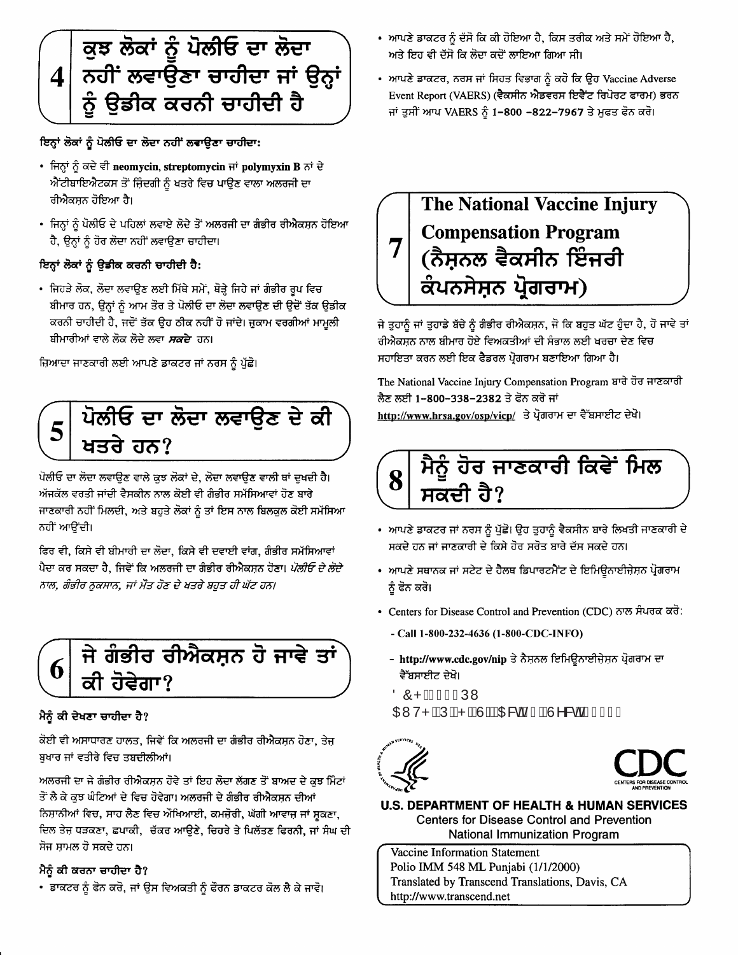

ਇਨ੍ਹਾਂ ਲੋਕਾਂ ਨੂੰ ਪੋਲੀਓ ਦਾ ਲੋਦਾ ਨਹੀਂ ਲਵਾਉਣਾ ਚਾਹੀਦਾ:

- ਜਿਨ੍ਹਾਂ ਨੂੰ ਕਦੇ ਵੀ neomycin, streptomycin ਜਾਂ polymyxin B ਨਾਂ ਦੇ ਐਂਟੀਬਾਇਐਟਕਸ ਤੋਂ ਜ਼ਿੰਦਗੀ ਨੂੰ ਖਤਰੇ ਵਿਚ ਪਾਉਣ ਵਾਲਾ ਅਲਰਜੀ ਦਾ ਰੀਐਕਸ਼ਨ ਹੋਇਆ ਹੈ।
- ਜਿਨ੍ਹਾਂ ਨੂੰ ਪੋਲੀਓ ਦੇ ਪਹਿਲਾਂ ਲਵਾਏ ਲੋਦੇ ਤੋਂ ਅਲਰਜੀ ਦਾ ਗੰਭੀਰ ਰੀਐਕਸ਼ਨ ਹੋਇਆ ਹੈ, ਉਨ੍ਹਾਂ ਨੂੰ ਹੋਰ ਲੋਦਾ ਨਹੀਂ ਲਵਾਉਣਾ ਚਾਹੀਦਾ।

#### ਇਨ੍ਹਾਂ ਲੋਕਾਂ ਨੂੰ ਉਡੀਕ ਕਰਨੀ ਚਾਹੀਦੀ ਹੈ:

• ਜਿਹੜੇ ਲੋਕ, ਲੋਦਾ ਲਵਾਉਣ ਲਈ ਮਿੱਥੇ ਸਮੇਂ, ਥੋੜ੍ਹੇ ਜਿਹੇ ਜਾਂ ਗੰਭੀਰ ਰੂਪ ਵਿਚ ਬੀਮਾਰ ਹਨ, ਉਨ੍ਹਾਂ ਨੂੰ ਆਮ ਤੌਰ ਤੇ ਪੋਲੀਓ ਦਾ ਲੋਦਾ ਲਵਾਉਣ ਦੀ ਉਦੋਂ ਤੱਕ ਉਡੀਕ ਕਰਨੀ ਚਾਹੀਦੀ ਹੈ, ਜਦੋਂ ਤੱਕ ਉਹ ਠੀਕ ਨਹੀਂ ਹੋ ਜਾਂਦੇ। ਜੁਕਾਮ ਵਰਗੀਆਂ ਮਾਮੂਲੀ ਬੀਮਾਰੀਆਂ ਵਾਲੇ ਲੋਕ ਲੋਦੇ ਲਵਾ *ਸਕਦੇ* ਹਨ।

ਜ਼ਿਆਦਾ ਜਾਣਕਾਰੀ ਲਈ ਆਪਣੇ ਡਾਕਟਰ ਜਾਂ ਨਰਸ ਨੂੰ ਪੁੱਛੋ।



ਪੋਲੀਓ ਦਾ ਲੋਦਾ ਲਵਾਉਣ ਵਾਲੇ ਕੁਝ ਲੋਕਾਂ ਦੇ, ਲੋਦਾ ਲਵਾਉਣ ਵਾਲੀ ਥਾਂ ਦੁਖਦੀ ਹੈ। ਅੱਜਕੱਲ ਵਰਤੀ ਜਾਂਦੀ ਵੈਸਕੀਨ ਨਾਲ ਕੋਈ ਵੀ ਗੰਭੀਰ ਸਮੱਸਿਆਵਾਂ ਹੋਣ ਬਾਰੇ ਜਾਣਕਾਰੀ ਨਹੀਂ ਮਿਲਦੀ, ਅਤੇ ਬਹੁਤੇ ਲੋਕਾਂ ਨੂੰ ਤਾਂ ਇਸ ਨਾਲ ਬਿਲਕੁਲ ਕੋਈ ਸਮੱਸਿਆ ਨਹੀਂ ਆਉਂਦੀ।

ਫਿਰ ਵੀ, ਕਿਸੇ ਵੀ ਬੀਮਾਰੀ ਦਾ ਲੋਦਾ, ਕਿਸੇ ਵੀ ਦਵਾਈ ਵਾਂਗ, ਗੰਭੀਰ ਸਮੱਸਿਆਵਾਂ ਪੈਦਾ ਕਰ ਸਕਦਾ ਹੈ, ਜਿਵੇਂ ਕਿ ਅਲਰਜੀ ਦਾ ਗੰਭੀਰ ਰੀਐਕਸਨ ਹੋਣਾ। *ਪੋਲੀਓ ਦੇ ਲੋਦੇ* ਨਾਲ, ਗੰਭੀਰ ਨੁਕਸਾਨ, ਜਾਂ ਮੌਤ ਹੋਣ ਦੇ ਖਤਰੇ ਬਹੁਤ ਹੀ ਘੱਟ ਹਨ।



#### ਮੈਨੂੰ ਕੀ ਦੇਖਣਾ ਚਾਹੀਦਾ ਹੈ?

ਕੋਈ ਵੀ ਅਸਾਧਾਰਣ ਹਾਲਤ, ਜਿਵੇਂ ਕਿ ਅਲਰਜੀ ਦਾ ਗੰਭੀਰ ਰੀਐਕਸਨ ਹੋਣਾ, ਤੇਜ ਸ਼ੁਖਾਰ ਜਾਂ ਵਤੀਰੇ ਵਿਚ ਤਬਦੀਲੀਆਂ।

ਅਲਰਜੀ ਦਾ ਜੇ ਗੰਭੀਰ ਰੀਐਕਸਨ ਹੋਵੇ ਤਾਂ ਇਹ ਲੋਦਾ ਲੱਗਣ ਤੋਂ ਬਾਅਦ ਦੇ ਕਝ ਮਿੰਟਾਂ ਤੋਂ ਲੈ ਕੇ ਕੁਝ ਘੰਟਿਆਂ ਦੇ ਵਿਚ ਹੋਵੇਗਾ। ਅਲਰਜੀ ਦੇ ਗੰਭੀਰ ਰੀਐਕਸਨ ਦੀਆਂ ਨਿਸ਼ਾਨੀਆਂ ਵਿਚ, ਸਾਹ ਲੈਣ ਵਿਚ ਔਖਿਆਈ, ਕਮਜੋਰੀ, ਘੱਗੀ ਆਵਾਜ਼ ਜਾਂ ਸੁਕਣਾ, ਦਿਲ ਤੇਜ਼ ਧੜਕਣਾ, ਛਪਾਕੀ, ਚੱਕਰ ਆਉਣੇ, ਚਿਹਰੇ ਤੇ ਪਿਲੱਤਣ ਫਿਰਨੀ, ਜਾਂ ਸੰਘ ਦੀ ਸੋਜ ਸ਼ਾਮਲ ਹੋ ਸਕਦੇ ਹਨ।

#### ਮੈਨੂੰ ਕੀ ਕਰਨਾ ਚਾਹੀਦਾ ਹੈ?

• ਡਾਕਟਰ ਨੂੰ ਫੋਨ ਕਰੋ, ਜਾਂ ਉਸ ਵਿਅਕਤੀ ਨੂੰ ਫੌਰਨ ਡਾਕਟਰ ਕੋਲ ਲੈ ਕੇ ਜਾਵੋ।

- ਆਪਣੇ ਡਾਕਟਰ ਨੂੰ ਦੱਸੋ ਕਿ ਕੀ ਹੋਇਆ ਹੈ, ਕਿਸ ਤਰੀਕ ਅਤੇ ਸਮੇਂ ਹੋਇਆ ਹੈ, ਅਤੇ ਇਹ ਵੀ ਦੱਸੋ ਕਿ ਲੋਦਾ ਕਦੋਂ ਲਾਇਆ ਗਿਆ ਸੀ।
- ਆਪਣੇ ਡਾਕਟਰ, ਨਰਸ ਜਾਂ ਸਿਹਤ ਵਿਭਾਗ ਨੂੰ ਕਹੋ ਕਿ ਉਹ Vaccine Adverse Event Report (VAERS) (ਵੈਕਸੀਨ ਐਡਵਰਸ ਇਵੈਂਟ ਰਿਪੋਰਟ ਫਾਰਮ) ਭਰਨ ਜਾਂ ਤੁਸੀਂ ਆਪ VAERS ਨੂੰ 1-800 -822-7967 ਤੇ ਮੁਫਤ ਫੋਨ ਕਰੋ।

### **The National Vaccine Injury Compensation Program** (ਨੈਸ਼ਨਲ ਵੈਕਸੀਨ ਇੰਜਰੀ ਕੰਪਨਸੇਸ਼ਨ ਪ੍ਰੋਗਰਾਮ)

ਜੇ ਤੁਹਾਨੂੰ ਜਾਂ ਤੁਹਾਡੇ ਬੱਚੇ ਨੂੰ ਗੰਭੀਰ ਰੀਐਕਸ਼ਨ, ਜੋ ਕਿ ਬਹੁਤ ਘੱਟ ਹੁੰਦਾ ਹੈ, ਹੋ ਜਾਵੇ ਤਾਂ ਰੀਐਕਸ਼ਨ ਨਾਲ ਬੀਮਾਰ ਹੋਏ ਵਿਅਕਤੀਆਂ ਦੀ ਸੰਭਾਲ ਲਈ ਖਰਚਾ ਦੇਣ ਵਿਚ ਸਹਾਇਤਾ ਕਰਨ ਲਈ ਇਕ ਫੈਡਰਲ ਪ੍ਰੋਗਰਾਮ ਬਣਾਇਆ ਗਿਆ ਹੈ।

The National Vaccine Injury Compensation Program ਬਾਰੇ ਹੋਰ ਜਾਣਕਾਰੀ ਲੈਣ ਲਈ 1-800-338-2382 ਤੇ ਫੋਨ ਕਰੋ ਜਾਂ http://www.hrsa.gov/osp/vicp/ ਤੇ ਪ੍ਰੋਗਰਾਮ ਦਾ ਵੈੱਬਸਾਈਟ ਦੇਖੋ।



- ਆਪਣੇ ਡਾਕਟਰ ਜਾਂ ਨਰਸ ਨੂੰ ਪੁੱਛੋ। ਉਹ ਤੁਹਾਨੂੰ ਵੈਕਸੀਨ ਬਾਰੇ ਲਿਖਤੀ ਜਾਣਕਾਰੀ ਦੇ ਸਕਦੇ ਹਨ ਜਾਂ ਜਾਣਕਾਰੀ ਦੇ ਕਿਸੇ ਹੋਰ ਸਰੋਤ ਬਾਰੇ ਦੱਸ ਸਕਦੇ ਹਨ।
- ਆਪਣੇ ਸਥਾਨਕ ਜਾਂ ਸਟੇਟ ਦੇ ਹੈਲਥ ਡਿਪਾਰਟਮੈਂਟ ਦੇ ਇਮਿਊਨਾਈਜ਼ੇਸ਼ਨ ਪ੍ਰੋਗਰਾਮ ਨੂੰ ਫੋਨ ਕਰੋ।
- Centers for Disease Control and Prevention (CDC) ਨਾਲ ਸੰਪਰਕ ਕਰੋ:
	- Call 1-800-232-4636 (1-800-CDC-INFO)
	- http://www.cdc.gov/nip ਤੇ ਨੈਸ਼ਨਲ ਇਮਿਊਨਾਈਜ਼ੇਸ਼ਨ ਪ੍ਰੋਗਰਾਮ ਦਾ ਵੈੱਬਸਾਈਟ ਦੇਖੋ।

ÖÔPË EI EÚW **CEVVP KÁJÉR ÉNJÉREGÁ GÉN KAFÁFGI F** 





**U.S. DEPARTMENT OF HEALTH & HUMAN SERVICES Centers for Disease Control and Prevention** National Immunization Program

Vaccine Information Statement Polio IMM 548 ML Punjabi (1/1/2000) Translated by Transcend Translations, Davis, CA http://www.transcend.net